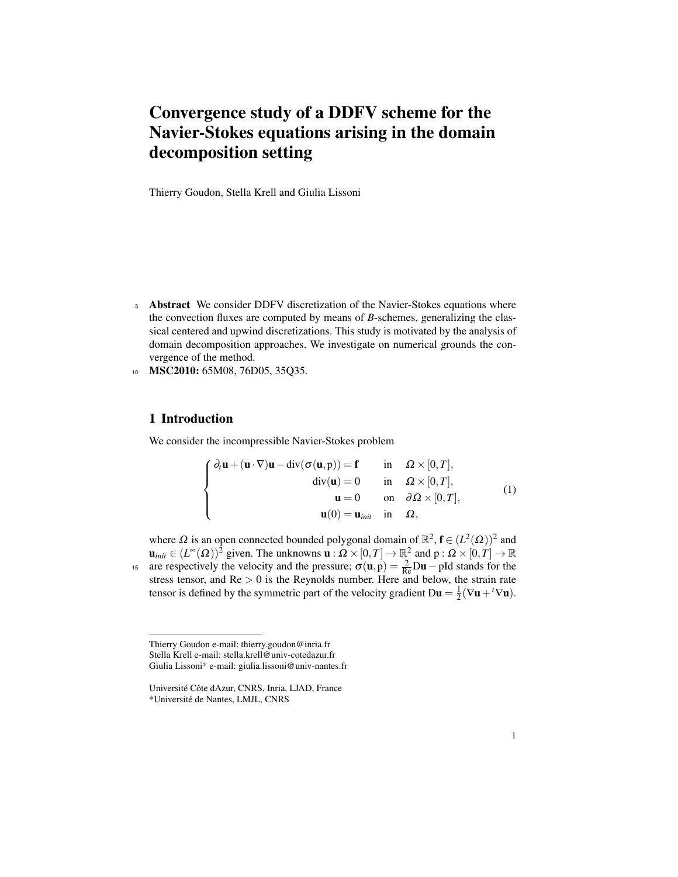# Convergence study of a DDFV scheme for the Navier-Stokes equations arising in the domain decomposition setting

Thierry Goudon, Stella Krell and Giulia Lissoni

- <sup>5</sup> Abstract We consider DDFV discretization of the Navier-Stokes equations where the convection fluxes are computed by means of *B*-schemes, generalizing the classical centered and upwind discretizations. This study is motivated by the analysis of domain decomposition approaches. We investigate on numerical grounds the convergence of the method.
- <sup>10</sup> MSC2010: 65M08, 76D05, 35Q35.

### 1 Introduction

We consider the incompressible Navier-Stokes problem

$$
\begin{cases}\n\partial_t \mathbf{u} + (\mathbf{u} \cdot \nabla) \mathbf{u} - \text{div}(\sigma(\mathbf{u}, \mathbf{p})) = \mathbf{f} & \text{in} \quad \Omega \times [0, T], \\
\text{div}(\mathbf{u}) = 0 & \text{in} \quad \Omega \times [0, T], \\
\mathbf{u} = 0 & \text{on} \quad \partial \Omega \times [0, T], \\
\mathbf{u}(0) = \mathbf{u}_{\text{init}} & \text{in} \quad \Omega,\n\end{cases}
$$
\n(1)

where  $\Omega$  is an open connected bounded polygonal domain of  $\mathbb{R}^2$ ,  $\mathbf{f} \in (L^2(\Omega))^2$  and  $\mathbf{u}_{init} \in (L^{\infty}(\Omega))^{\bar{2}}$  given. The unknowns  $\mathbf{u}: \Omega \times [0,T] \to \mathbb{R}^2$  and  $p: \Omega \times [0,T] \to \mathbb{R}$ are respectively the velocity and the pressure;  $\sigma(\mathbf{u}, \mathbf{p}) = \frac{2}{\text{Re}} \mathbf{D} \mathbf{u} - \mathbf{p} \mathbf{I}$  stands for the stress tensor, and  $Re > 0$  is the Reynolds number. Here and below, the strain rate tensor is defined by the symmetric part of the velocity gradient  $D\mathbf{u} = \frac{1}{2}(\nabla \mathbf{u} + {}^t\nabla \mathbf{u})$ .

Thierry Goudon e-mail: thierry.goudon@inria.fr Stella Krell e-mail: stella.krell@univ-cotedazur.fr Giulia Lissoni\* e-mail: giulia.lissoni@univ-nantes.fr

Université Côte dAzur, CNRS, Inria, LJAD, France \*Universite de Nantes, LMJL, CNRS ´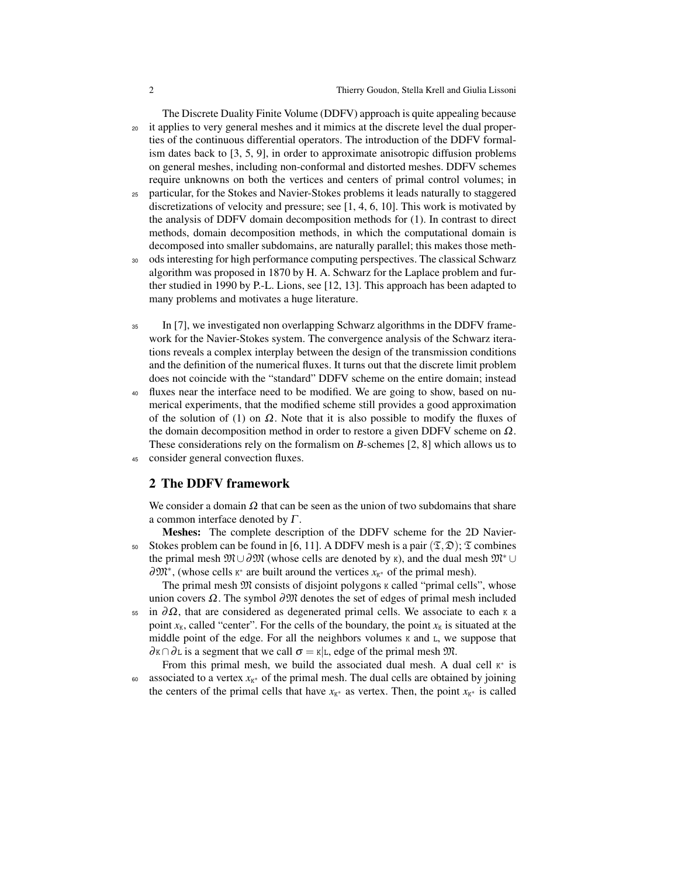The Discrete Duality Finite Volume (DDFV) approach is quite appealing because <sup>20</sup> it applies to very general meshes and it mimics at the discrete level the dual properties of the continuous differential operators. The introduction of the DDFV formalism dates back to [3, 5, 9], in order to approximate anisotropic diffusion problems on general meshes, including non-conformal and distorted meshes. DDFV schemes require unknowns on both the vertices and centers of primal control volumes; in

- <sup>25</sup> particular, for the Stokes and Navier-Stokes problems it leads naturally to staggered discretizations of velocity and pressure; see [1, 4, 6, 10]. This work is motivated by the analysis of DDFV domain decomposition methods for (1). In contrast to direct methods, domain decomposition methods, in which the computational domain is decomposed into smaller subdomains, are naturally parallel; this makes those meth-
- <sup>30</sup> ods interesting for high performance computing perspectives. The classical Schwarz algorithm was proposed in 1870 by H. A. Schwarz for the Laplace problem and further studied in 1990 by P.-L. Lions, see [12, 13]. This approach has been adapted to many problems and motivates a huge literature.
- <sup>35</sup> In [7], we investigated non overlapping Schwarz algorithms in the DDFV framework for the Navier-Stokes system. The convergence analysis of the Schwarz iterations reveals a complex interplay between the design of the transmission conditions and the definition of the numerical fluxes. It turns out that the discrete limit problem does not coincide with the "standard" DDFV scheme on the entire domain; instead
- <sup>40</sup> fluxes near the interface need to be modified. We are going to show, based on numerical experiments, that the modified scheme still provides a good approximation of the solution of (1) on  $\Omega$ . Note that it is also possible to modify the fluxes of the domain decomposition method in order to restore a given DDFV scheme on  $\Omega$ . These considerations rely on the formalism on *B*-schemes [2, 8] which allows us to <sup>45</sup> consider general convection fluxes.

### 2 The DDFV framework

We consider a domain  $\Omega$  that can be seen as the union of two subdomains that share a common interface denoted by  $\Gamma$ .

Meshes: The complete description of the DDFV scheme for the 2D Navier-50 Stokes problem can be found in [6, 11]. A DDFV mesh is a pair  $(\mathfrak{T}, \mathfrak{D})$ ;  $\mathfrak{T}$  combines the primal mesh  $\mathfrak{M}\cup\partial\mathfrak{M}$  (whose cells are denoted by K), and the dual mesh  $\mathfrak{M}^*$  ∪ ∂m<sup>\*</sup>, (whose cells K<sup>\*</sup> are built around the vertices  $x_{K^*}$  of the primal mesh).

The primal mesh  $M$  consists of disjoint polygons k called "primal cells", whose union covers  $\Omega$ . The symbol  $\partial \mathfrak{M}$  denotes the set of edges of primal mesh included

 $55$  in  $\partial\Omega$ , that are considered as degenerated primal cells. We associate to each κ a point  $x_K$ , called "center". For the cells of the boundary, the point  $x_K$  is situated at the middle point of the edge. For all the neighbors volumes  $K$  and  $L$ , we suppose that  $\partial K \cap \partial L$  is a segment that we call  $\sigma = K|L$ , edge of the primal mesh  $\mathfrak{M}$ .

From this primal mesh, we build the associated dual mesh. A dual cell  $K^*$  is <sup>60</sup> associated to a vertex *x<sub>K</sub>*  $\theta$  of the primal mesh. The dual cells are obtained by joining the centers of the primal cells that have  $x_{K^*}$  as vertex. Then, the point  $x_{K^*}$  is called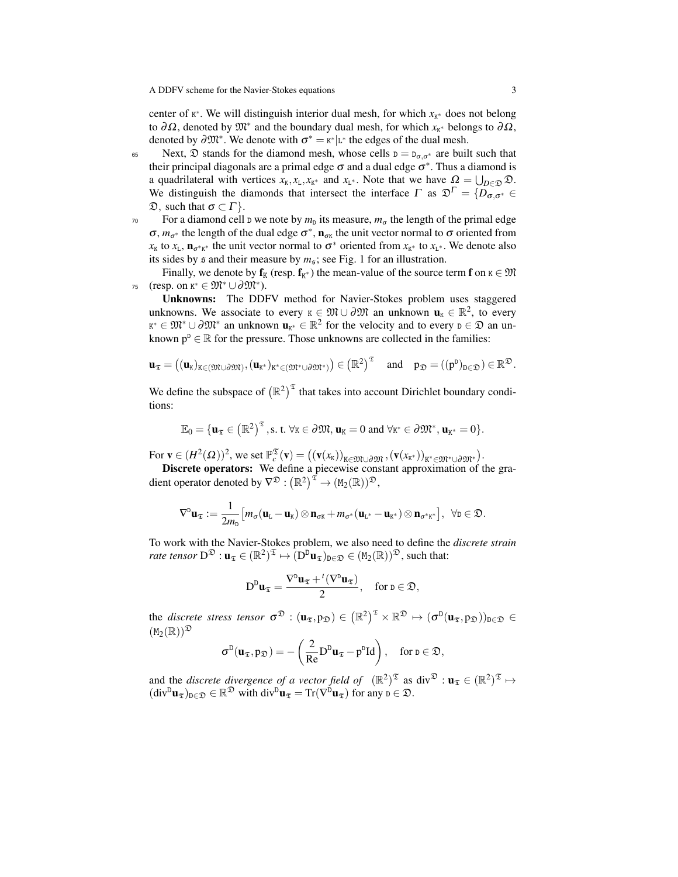center of  $K^*$ . We will distinguish interior dual mesh, for which  $x_{K^*}$  does not belong to  $\partial\Omega$ , denoted by  $\mathfrak{M}^*$  and the boundary dual mesh, for which  $x_{K^*}$  belongs to  $\partial\Omega$ , denoted by  $\partial \mathfrak{M}^*$ . We denote with  $\sigma^* = \kappa^* | L^*$  the edges of the dual mesh.

65 Next,  $\mathfrak D$  stands for the diamond mesh, whose cells  $D = D_{\sigma,\sigma^*}$  are built such that their principal diagonals are a primal edge  $\sigma$  and a dual edge  $\sigma^*$ . Thus a diamond is a quadrilateral with vertices  $x_k, x_L, x_{K^*}$  and  $x_{L^*}$ . Note that we have  $\Omega = \bigcup_{D \in \mathcal{D}} \mathcal{D}$ . We distinguish the diamonds that intersect the interface  $\Gamma$  as  $\mathfrak{D}^{\Gamma} = \{D_{\sigma,\sigma^*} \in$  $\mathfrak{D}$ , such that  $\sigma \subset \Gamma$ .

 $70$  For a diamond cell  $D$  we note by  $m_D$  its measure,  $m_{\sigma}$  the length of the primal edge  $\sigma$ ,  $m_{\sigma^*}$  the length of the dual edge  $\sigma^*$ ,  $\mathbf{n}_{\sigma^k}$  the unit vector normal to  $\sigma$  oriented from  $x_K$  to  $x_L$ ,  $\mathbf{n}_{\sigma^*K^*}$  the unit vector normal to  $\sigma^*$  oriented from  $x_{K^*}$  to  $x_{L^*}$ . We denote also its sides by  $\epsilon$  and their measure by  $m_{\epsilon}$ ; see Fig. 1 for an illustration.

Finally, we denote by  $f_K$  (resp.  $f_{K^*}$ ) the mean-value of the source term  $f$  on  $\kappa \in \mathfrak{M}$  $75$  (resp. on  $K^* \in \mathfrak{M}^* \cup \partial \mathfrak{M}^*$ ).

Unknowns: The DDFV method for Navier-Stokes problem uses staggered unknowns. We associate to every  $\kappa \in \mathfrak{M} \cup \partial \mathfrak{M}$  an unknown  $\mathbf{u}_{\kappa} \in \mathbb{R}^2$ , to every  $x^* \in \mathfrak{M}^* \cup \partial \mathfrak{M}^*$  an unknown  $\mathbf{u}_{x^*} \in \mathbb{R}^2$  for the velocity and to every  $D \in \mathfrak{D}$  an unknown  $p^D \in \mathbb{R}$  for the pressure. Those unknowns are collected in the families:

$$
\mathbf{u}_{\mathfrak{T}}=\left((\mathbf{u}_{K})_{K\in(\mathfrak{M}\cup\partial\mathfrak{M})},(\mathbf{u}_{K^{*}})_{K^{*}\in(\mathfrak{M}^{*}\cup\partial\mathfrak{M}^{*})}\right)\in\left(\mathbb{R}^{2}\right)^{\mathfrak{T}}\quad\text{and}\quad p_{\mathfrak{D}}=\left((p^{D})_{D\in\mathfrak{D}}\right)\in\mathbb{R}^{\mathfrak{D}}.
$$

We define the subspace of  $(\mathbb{R}^2)^{\mathfrak{T}}$  that takes into account Dirichlet boundary conditions:

$$
\mathbb{E}_0 = \{ \mathbf{u}_{\mathfrak{T}} \in \left( \mathbb{R}^2 \right)^{\mathfrak{T}}, \text{s. t. } \forall \kappa \in \partial \mathfrak{M}, \mathbf{u}_{\kappa} = 0 \text{ and } \forall \kappa^* \in \partial \mathfrak{M}^*, \mathbf{u}_{\kappa^*} = 0 \}.
$$

 $\text{For } \mathbf{v} \in (H^2(\Omega))^2 \text{, we set } \mathbb{P}_c^{\mathfrak{T}}(\mathbf{v}) = ((\mathbf{v}(x_{\mathsf{K}}))_{\mathsf{K} \in \mathfrak{M} \cup \partial \mathfrak{M}}, (\mathbf{v}(x_{\mathsf{K}^*}))_{\mathsf{K}^* \in \mathfrak{M}^* \cup \partial \mathfrak{M}^*}).$ 

Discrete operators: We define a piecewise constant approximation of the gradient operator denoted by  $\nabla^{\mathfrak{D}}: \left( \mathbb{R}^2 \right)^{\mathfrak{T}} \to (\mathtt{M}_2(\mathbb{R}))^{\mathfrak{D}},$ 

$$
\nabla^{\mathbf{D}} \mathbf{u}_{\mathfrak{T}} := \frac{1}{2m_{\mathbf{D}}} \big[ m_{\sigma} (\mathbf{u}_{\mathbf{L}} - \mathbf{u}_{\mathbf{K}}) \otimes \mathbf{n}_{\sigma \mathbf{K}} + m_{\sigma^*} (\mathbf{u}_{\mathbf{L}^*} - \mathbf{u}_{\mathbf{K}^*}) \otimes \mathbf{n}_{\sigma^* \mathbf{K}^*} \big], \ \ \forall \mathbf{D} \in \mathfrak{D}.
$$

To work with the Navier-Stokes problem, we also need to define the *discrete strain rate tensor*  $D^{\mathfrak{D}}: \mathbf{u}_{\mathfrak{T}} \in (\mathbb{R}^2)^{\mathfrak{T}} \mapsto (D^{\mathfrak{D}} \mathbf{u}_{\mathfrak{T}})_{\mathfrak{D} \in \mathfrak{D}} \in (M_2(\mathbb{R}))^{\mathfrak{D}}$ , such that:

$$
D^D \mathbf{u}_{\mathfrak{T}} = \frac{\nabla^D \mathbf{u}_{\mathfrak{T}} + \iota(\nabla^D \mathbf{u}_{\mathfrak{T}})}{2}, \quad \text{for } \mathfrak{d} \in \mathfrak{D},
$$

the *discrete stress tensor*  $\sigma^{\mathfrak{D}} : (\mathbf{u}_{\mathfrak{T}}, \mathbf{p}_{\mathfrak{D}}) \in \left(\mathbb{R}^2\right)^{\mathfrak{T}} \times \mathbb{R}^{\mathfrak{D}} \mapsto (\sigma^{\mathsf{D}}(\mathbf{u}_{\mathfrak{T}}, \mathbf{p}_{\mathfrak{D}}))_{\mathsf{D} \in \mathfrak{D}} \in$  $(M_2(\mathbb{R}))^{\mathfrak{D}}$ 

$$
\sigma^D(\mathbf{u}_{\mathfrak{T}},p_{\mathfrak{D}})=-\left(\frac{2}{Re}D^D\mathbf{u}_{\mathfrak{T}}-p^DId\right),\quad\text{for }p\in\mathfrak{D},
$$

and the *discrete divergence of a vector field of*  $(\mathbb{R}^2)^{\mathfrak{T}}$  as  $\text{div}^{\mathfrak{D}} : \mathbf{u}_{\mathfrak{T}} \in (\mathbb{R}^2)^{\mathfrak{T}} \mapsto$  $(\text{div}^D \mathbf{u}_\mathfrak{T})_{\mathbf{D}\in\mathfrak{D}} \in \mathbb{R}^\mathfrak{D}$  with  $\text{div}^D \mathbf{u}_\mathfrak{T} = \text{Tr}(\nabla^D \mathbf{u}_\mathfrak{T})$  for any  $\mathbf{D} \in \mathfrak{D}$ .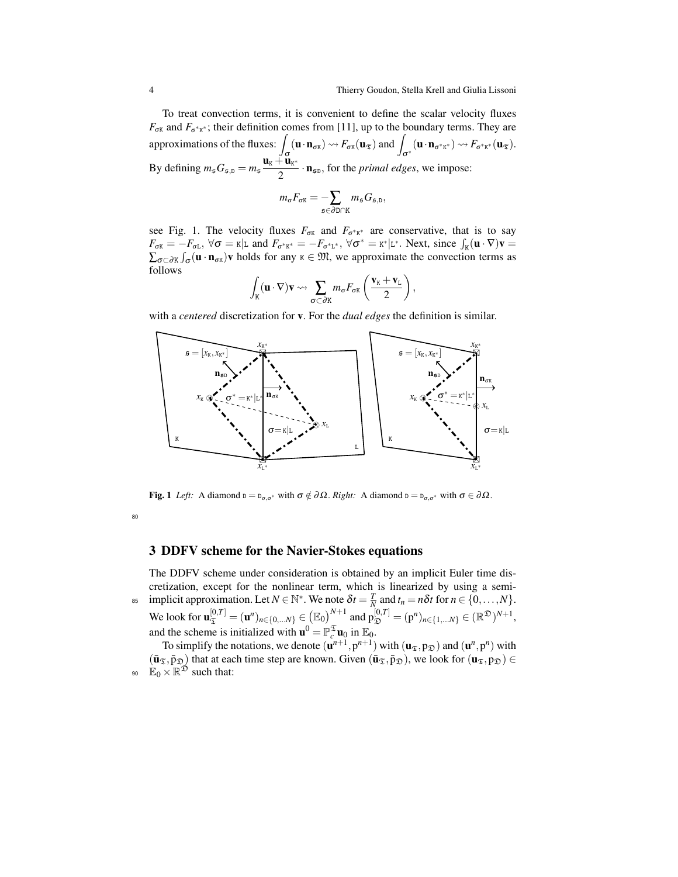To treat convection terms, it is convenient to define the scalar velocity fluxes  $F_{\sigma K}$  and  $F_{\sigma^* K^*}$ ; their definition comes from [11], up to the boundary terms. They are approximations of the fluxes:  $\int_{\sigma} (\mathbf{u} \cdot \mathbf{n}_{\sigma K}) \leadsto F_{\sigma K}(\mathbf{u}_{\mathfrak{T}})$  and  $\int_{\sigma^*} (\mathbf{u} \cdot \mathbf{n}_{\sigma^* K^*}) \leadsto F_{\sigma^* K^*}(\mathbf{u}_{\mathfrak{T}})$ . By defining  $m_s G_{\mathfrak{s},\mathfrak{D}} = m_s \frac{\mathbf{u}_k + \mathbf{u}_{k^*}}{2}$  $\frac{a_{\rm R}}{2}$   $\cdot$  **n**<sub>5D</sub>, for the *primal edges*, we impose:

$$
m_{\sigma}F_{\sigma K} = -\sum_{\mathfrak{s}\in\partial D\cap K}m_{\mathfrak{s}}G_{\mathfrak{s},D},
$$

see Fig. 1. The velocity fluxes  $F_{\sigma K}$  and  $F_{\sigma^* K^*}$  are conservative, that is to say  $F_{\sigma K} = -F_{\sigma L}$ ,  $\forall \sigma = \kappa |L$  and  $F_{\sigma^* K^*} = -F_{\sigma^* L^*}$ ,  $\forall \sigma^* = \kappa^* |L^*$ . Next, since  $\int_K (\mathbf{u} \cdot \nabla) \mathbf{v} =$  $\sum_{\sigma \subset \partial K} \int_{\sigma} (\mathbf{u} \cdot \mathbf{n}_{\sigma K}) \mathbf{v}$  holds for any  $\kappa \in \mathfrak{M}$ , we approximate the convection terms as follows

$$
\int_{K} (\mathbf{u} \cdot \nabla) \mathbf{v} \rightsquigarrow \sum_{\sigma \subset \partial K} m_{\sigma} F_{\sigma K} \left( \frac{\mathbf{v}_{K} + \mathbf{v}_{L}}{2} \right),
$$

with a *centered* discretization for v. For the *dual edges* the definition is similar.



**Fig. 1** *Left:* A diamond  $\mathbf{D} = \mathbf{D}_{\sigma,\sigma^*}$  with  $\sigma \notin \partial \Omega$ . *Right:* A diamond  $\mathbf{D} = \mathbf{D}_{\sigma,\sigma^*}$  with  $\sigma \in \partial \Omega$ .

80

# 3 DDFV scheme for the Navier-Stokes equations

The DDFV scheme under consideration is obtained by an implicit Euler time discretization, except for the nonlinear term, which is linearized by using a semi- $\lim_{n \to \infty} \int_0^{\infty} \text{Im} \{ \text{Im} \{ \text{Im} \{ \text{Im} \} \}$ . We note  $\delta t = \frac{T}{N}$  and  $t_n = n \delta t$  for  $n \in \{0, \ldots, N\}$ . We look for  $\mathbf{u}_{\mathfrak{T}}^{[0,T]} = (\mathbf{u}^n)_{n \in \{0, \ldots N\}} \in (\mathbb{E}_0)^{N+1}$  and  $p_{\mathfrak{D}}^{[0,T]} = (p^n)_{n \in \{1, \ldots N\}} \in (\mathbb{R}^{\mathfrak{D}})^{N+1}$ , and the scheme is initialized with  $\mathbf{u}^0 = \mathbb{P}_{c}^{\mathfrak{T}} \mathbf{u}_0$  in  $\mathbb{E}_0$ .

To simplify the notations, we denote  $(\mathbf{u}^{n+1}, \mathbf{p}^{n+1})$  with  $(\mathbf{u}_{\mathfrak{T}}, \mathbf{p}_{\mathfrak{D}})$  and  $(\mathbf{u}^{n}, \mathbf{p}^{n})$  with  $(\bar{\mathbf{u}}_{\mathfrak{T}},\bar{p}_{\mathfrak{D}})$  that at each time step are known. Given  $(\bar{\mathbf{u}}_{\mathfrak{T}},\bar{p}_{\mathfrak{D}})$ , we look for  $(\mathbf{u}_{\mathfrak{T}},p_{\mathfrak{D}}) \in$ 90  $\mathbb{E}_0 \times \mathbb{R}^{\mathfrak{D}}$  such that: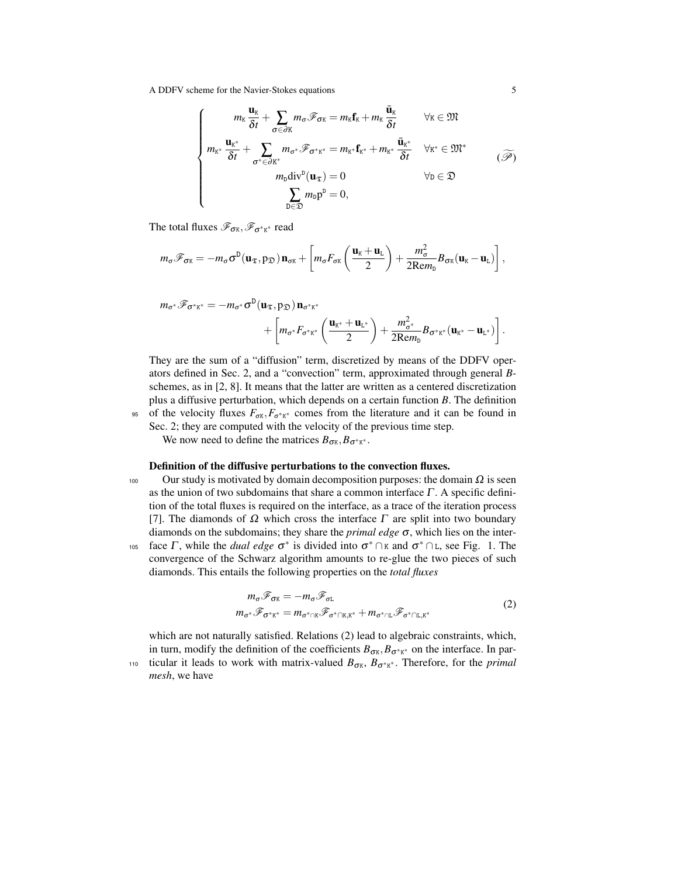A DDFV scheme for the Navier-Stokes equations 5

$$
\begin{cases}\n m_{\kappa} \frac{\mathbf{u}_{\kappa}}{\delta t} + \sum_{\sigma \in \partial K} m_{\sigma} \mathcal{F}_{\sigma \kappa} = m_{\kappa} \mathbf{f}_{\kappa} + m_{\kappa} \frac{\mathbf{\bar{u}}_{\kappa}}{\delta t} & \forall \kappa \in \mathfrak{M} \\
 m_{\kappa^*} \frac{\mathbf{u}_{\kappa^*}}{\delta t} + \sum_{\sigma^* \in \partial K^*} m_{\sigma^*} \mathcal{F}_{\sigma^* \kappa^*} = m_{\kappa^*} \mathbf{f}_{\kappa^*} + m_{\kappa^*} \frac{\mathbf{\bar{u}}_{\kappa^*}}{\delta t} & \forall \kappa^* \in \mathfrak{M}^* \\
 m_{\kappa} \frac{\mathbf{u}_{\kappa^*}}{\delta t} - \sum_{\substack{\mathbf{m} \\ \mathbf{m} \\ \mathbf{m} \in \mathfrak{D}}} m_{\sigma^*} \mathcal{F}_{\sigma^* \kappa^*} = 0, & \forall \mathbf{m} \in \mathfrak{D}\n \end{cases} \tag{3}
$$

The total fluxes  $\mathscr{F}_{\sigma\kappa}, \mathscr{F}_{\sigma^*\kappa^*}$  read

$$
m_{\sigma}\mathscr{F}_{\sigma\kappa} = -m_{\sigma}\sigma^{D}(\mathbf{u}_{\mathfrak{T}},p_{\mathfrak{D}})\,\mathbf{n}_{\sigma\kappa} + \left[m_{\sigma}F_{\sigma\kappa}\left(\frac{\mathbf{u}_{\kappa}+\mathbf{u}_{\mathrm{L}}}{2}\right) + \frac{m_{\sigma}^{2}}{2\mathrm{Re}m_{\mathrm{D}}}B_{\sigma\kappa}(\mathbf{u}_{\kappa}-\mathbf{u}_{\mathrm{L}})\right],
$$

$$
m_{\sigma^*} \mathscr{F}_{\sigma^* \kappa^*} = -m_{\sigma^*} \sigma^D(\mathbf{u}_{\mathfrak{T}}, \mathbf{p}_{\mathfrak{D}}) \mathbf{n}_{\sigma^* \kappa^*} + \left[m_{\sigma^*} F_{\sigma^* \kappa^*} \left(\frac{\mathbf{u}_{\kappa^*} + \mathbf{u}_{\kappa^*}}{2}\right) + \frac{m_{\sigma^*}^2}{2\mathrm{Rem}_D} B_{\sigma^* \kappa^*}(\mathbf{u}_{\kappa^*} - \mathbf{u}_{\kappa^*})\right].
$$

They are the sum of a "diffusion" term, discretized by means of the DDFV operators defined in Sec. 2, and a "convection" term, approximated through general *B*schemes, as in [2, 8]. It means that the latter are written as a centered discretization plus a diffusive perturbation, which depends on a certain function *B*. The definition <sup>95</sup> of the velocity fluxes  $F_{\sigma K}$ ,  $F_{\sigma^* K^*}$  comes from the literature and it can be found in

Sec. 2; they are computed with the velocity of the previous time step.

We now need to define the matrices  $B_{\sigma K}, B_{\sigma^* K^*}.$ 

### Definition of the diffusive perturbations to the convection fluxes.

- 100 Our study is motivated by domain decomposition purposes: the domain  $\Omega$  is seen as the union of two subdomains that share a common interface  $\Gamma$ . A specific definition of the total fluxes is required on the interface, as a trace of the iteration process [7]. The diamonds of  $\Omega$  which cross the interface  $\Gamma$  are split into two boundary diamonds on the subdomains; they share the *primal edge* σ, which lies on the inter-<sup>105</sup> face Γ, while the *dual edge*  $\sigma^*$  is divided into  $\sigma^*$  ∩ κ and  $\sigma^*$  ∩ ι, see Fig. 1. The
- convergence of the Schwarz algorithm amounts to re-glue the two pieces of such diamonds. This entails the following properties on the *total fluxes*

$$
m_{\sigma} \mathcal{F}_{\sigma \kappa} = -m_{\sigma} \mathcal{F}_{\sigma L}
$$
  
\n
$$
m_{\sigma^*} \mathcal{F}_{\sigma^* \kappa^*} = m_{\sigma^* \cap \kappa} \mathcal{F}_{\sigma^* \cap \kappa, \kappa^*} + m_{\sigma^* \cap L} \mathcal{F}_{\sigma^* \cap L, \kappa^*}
$$
\n(2)

which are not naturally satisfied. Relations (2) lead to algebraic constraints, which, in turn, modify the definition of the coefficients  $B_{\sigma K}$ ,  $B_{\sigma^* K^*}$  on the interface. In par-

<sub>110</sub> ticular it leads to work with matrix-valued  $B_{\sigma K}$ ,  $B_{\sigma^* K^*}$ . Therefore, for the *primal mesh*, we have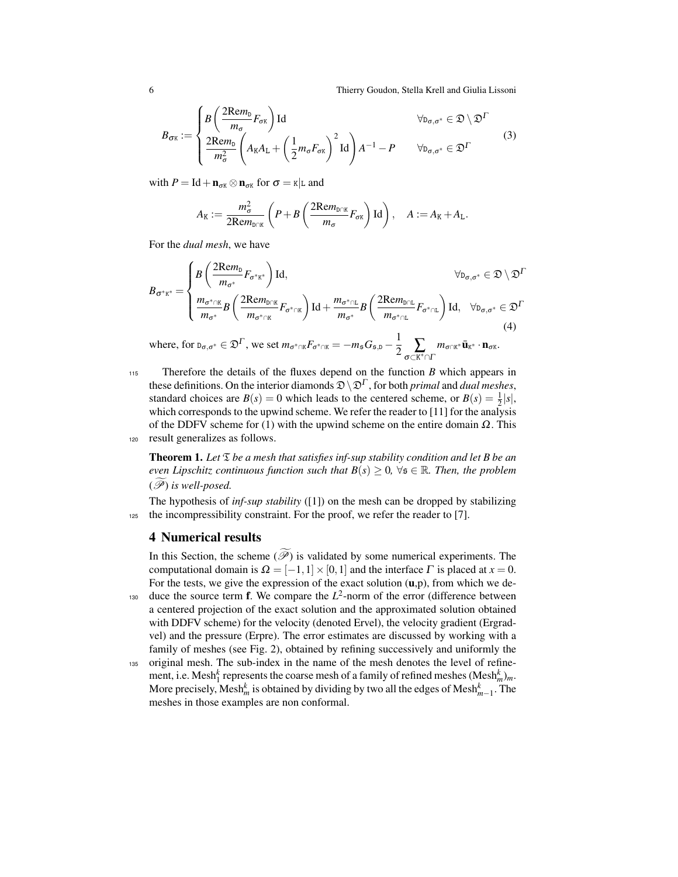6 Thierry Goudon, Stella Krell and Giulia Lissoni

$$
B_{\sigma\kappa} := \begin{cases} B\left(\frac{2\mathrm{Re}m_{\mathrm{D}}}{m_{\sigma}}F_{\sigma\kappa}\right)\mathrm{Id} & \forall_{\mathrm{D}_{\sigma,\sigma^*}} \in \mathfrak{D}\setminus\mathfrak{D}^{\Gamma} \\ \frac{2\mathrm{Re}m_{\mathrm{D}}}{m_{\sigma}^{2}}\left(A_{\mathrm{K}}A_{\mathrm{L}}+\left(\frac{1}{2}m_{\sigma}F_{\sigma\kappa}\right)^{2}\mathrm{Id}\right)A^{-1} - P & \forall_{\mathrm{D}_{\sigma,\sigma^*}} \in \mathfrak{D}^{\Gamma} \end{cases}
$$
(3)

with  $P = \text{Id} + \mathbf{n}_{\sigma K} \otimes \mathbf{n}_{\sigma K}$  for  $\sigma = \kappa | \text{L}$  and

$$
A_{\text{K}} := \frac{m_{\sigma}^2}{2\text{Rem}_{D\cap\mathbb{K}}} \left(P + B\left(\frac{2\text{Rem}_{D\cap\mathbb{K}}}{m_{\sigma}} F_{\sigma\mathbb{K}}\right) \text{Id}\right), \quad A := A_{\text{K}} + A_{\text{L}}.
$$

For the *dual mesh*, we have

$$
B_{\sigma^*\kappa^*} = \begin{cases} B\left(\frac{2\mathrm{Re}m_{\mathrm{D}}}{m_{\sigma^*}}F_{\sigma^*\kappa^*}\right)\mathrm{Id}, & \forall_{\mathrm{D}_{\sigma,\sigma^*}} \in \mathfrak{D}\setminus\mathfrak{D}^{\Gamma} \\ \frac{m_{\sigma^*\cap\mathbb{K}}}{m_{\sigma^*}}B\left(\frac{2\mathrm{Re}m_{\mathrm{D}\cap\mathbb{K}}}{m_{\sigma^*\cap\mathbb{K}}}F_{\sigma^*\cap\mathbb{K}}\right)\mathrm{Id} + \frac{m_{\sigma^*\cap\mathbb{L}}}{m_{\sigma^*}}B\left(\frac{2\mathrm{Re}m_{\mathrm{D}\cap\mathbb{L}}}{m_{\sigma^*\cap\mathbb{L}}}F_{\sigma^*\cap\mathbb{L}}\right)\mathrm{Id}, & \forall_{\mathrm{D}_{\sigma,\sigma^*}} \in \mathfrak{D}^{\Gamma} \end{cases}
$$
\n
$$
(4)
$$

where, for  $p_{\sigma,\sigma^*} \in \mathfrak{D}^{\Gamma}$ , we set  $m_{\sigma^* \cap K} F_{\sigma^* \cap K} = -m_{\mathfrak{s}} G_{\mathfrak{s},\mathfrak{d}} - \frac{1}{2} \sum_{\sigma \subset K^* \cap \Gamma}$  $m_{\sigma \cap K^*} \bar{\mathbf u}_{K^*} \cdot \mathbf n_{\sigma K}.$ 

115 Therefore the details of the fluxes depend on the function *B* which appears in these definitions. On the interior diamonds  $\mathfrak{D}\backslash \mathfrak{D}^{\Gamma}$ , for both *primal* and *dual meshes*, standard choices are  $B(s) = 0$  which leads to the centered scheme, or  $B(s) = \frac{1}{2}|s|$ , which corresponds to the upwind scheme. We refer the reader to [11] for the analysis of the DDFV scheme for (1) with the upwind scheme on the entire domain  $\Omega$ . This <sup>120</sup> result generalizes as follows.

**Theorem 1.** Let  $\mathfrak{T}$  be a mesh that satisfies inf-sup stability condition and let B be an *even Lipschitz continuous function such that*  $B(s) > 0$ ,  $\forall s \in \mathbb{R}$ *. Then, the problem*  $(\mathscr{P})$  *is well-posed.* 

The hypothesis of *inf-sup stability* ([1]) on the mesh can be dropped by stabilizing 125 the incompressibility constraint. For the proof, we refer the reader to [7].

#### 4 Numerical results

In this Section, the scheme  $(\widetilde{\mathcal{P}})$  is validated by some numerical experiments. The computational domain is  $\Omega = [-1,1] \times [0,1]$  and the interface  $\Gamma$  is placed at  $x = 0$ . For the tests, we give the expression of the exact solution  $(u,p)$ , from which we de- $130$  duce the source term **f**. We compare the  $L^2$ -norm of the error (difference between a centered projection of the exact solution and the approximated solution obtained with DDFV scheme) for the velocity (denoted Ervel), the velocity gradient (Ergradvel) and the pressure (Erpre). The error estimates are discussed by working with a family of meshes (see Fig. 2), obtained by refining successively and uniformly the

<sup>135</sup> original mesh. The sub-index in the name of the mesh denotes the level of refinement, i.e. Mesh<sup>k</sup> represents the coarse mesh of a family of refined meshes  $(Mesh_m^k)_m$ . More precisely, Mesh<sup> $k$ </sup> is obtained by dividing by two all the edges of Mesh ${}_{m-1}^k$ . The meshes in those examples are non conformal.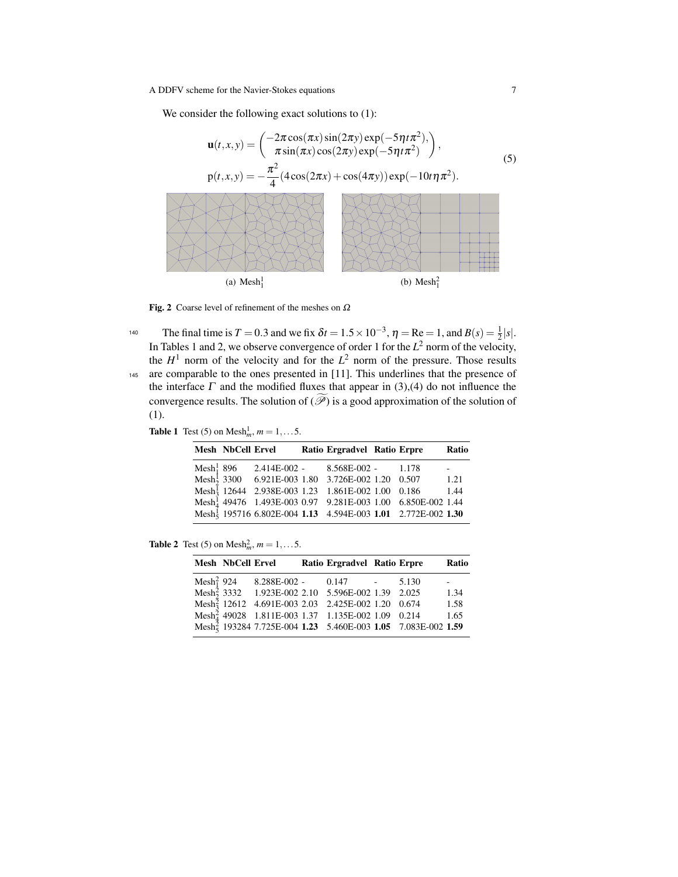A DDFV scheme for the Navier-Stokes equations 7

We consider the following exact solutions to  $(1)$ :



Fig. 2 Coarse level of refinement of the meshes on  $\Omega$ 

140 The final time is  $T = 0.3$  and we fix  $\delta t = 1.5 \times 10^{-3}$ ,  $\eta = \text{Re} = 1$ , and  $B(s) = \frac{1}{2}|s|$ . In Tables 1 and 2, we observe convergence of order 1 for the  $L^2$  norm of the velocity, the  $H<sup>1</sup>$  norm of the velocity and for the  $L<sup>2</sup>$  norm of the pressure. Those results <sup>145</sup> are comparable to the ones presented in [11]. This underlines that the presence of the interface  $\Gamma$  and the modified fluxes that appear in (3),(4) do not influence the convergence results. The solution of  $(\mathscr{P})$  is a good approximation of the solution of (1).

**Table 1** Test (5) on Mesh $^1_m$ ,  $m = 1, ...5$ .

|                 | Mesh NbCell Ervel |  | Ratio Ergradvel Ratio Erpre                                                                                                                                                                                                    |  | Ratio |
|-----------------|-------------------|--|--------------------------------------------------------------------------------------------------------------------------------------------------------------------------------------------------------------------------------|--|-------|
| Mesh $_1^1$ 896 |                   |  | $2.414E-002 - 8.568E-002 - 1.178$                                                                                                                                                                                              |  |       |
|                 |                   |  | Mesh <sup>1</sup> 3300 6.921E-003 1.80 3.726E-002 1.20 0.507                                                                                                                                                                   |  | 1.21  |
|                 |                   |  | $\begin{tabular}{lllllllllll} \bf{Mesh}^{\overline{1}}_3 & 12644 & 2.938E-003 & 1.23 & 1.861E-002 & 1.00 & 0.186 & 1.44 \\ \bf{Mesh}^1_4 & 49476 & 1.493E-003 & 0.97 & 9.281E-003 & 1.00 & 6.850E-002 & 1.44 \\ \end{tabular}$ |  |       |
|                 |                   |  |                                                                                                                                                                                                                                |  |       |
|                 |                   |  | Mesh <sup>1</sup> 195716 6.802E-004 1.13 4.594E-003 1.01 2.772E-002 1.30                                                                                                                                                       |  |       |

**Table 2** Test (5) on Mesh $^2_m$ ,  $m = 1, ...5$ .

| <b>Mesh NbCell Ervel</b> |  | Ratio Ergradvel Ratio Erpre                                                                                                                                                                                                      |  | Ratio |
|--------------------------|--|----------------------------------------------------------------------------------------------------------------------------------------------------------------------------------------------------------------------------------|--|-------|
|                          |  |                                                                                                                                                                                                                                  |  |       |
|                          |  | $\begin{tabular}{lllllllll} \bf{Mesh}^2_1 & 924 & 8.288E-002 & 0.147 & - & 5.130 \\ \bf{Mesh}^2_2 & 3332 & 1.923E-002 & 2.10 & 5.596E-002 & 1.39 & 2.025 \\ \end{tabular}$                                                       |  | 1.34  |
|                          |  | $\begin{array}{r@{\quad}l} \text{Mesh}^{\tilde{2}}_3 & 12612 & 4.691\text{E}-003 & 2.03 & 2.425\text{E}-002 & 1.20 & 0.674 \\ \text{Mesh}^2_4 & 49028 & 1.811\text{E}-003 & 1.37 & 1.135\text{E}-002 & 1.09 & 0.214 \end{array}$ |  | 1.58  |
|                          |  |                                                                                                                                                                                                                                  |  | 1.65  |
|                          |  | Mesh <sup><math>\frac{3}{5}</math></sup> 193284 7.725E-004 1.23 5.460E-003 1.05 7.083E-002 1.59                                                                                                                                  |  |       |